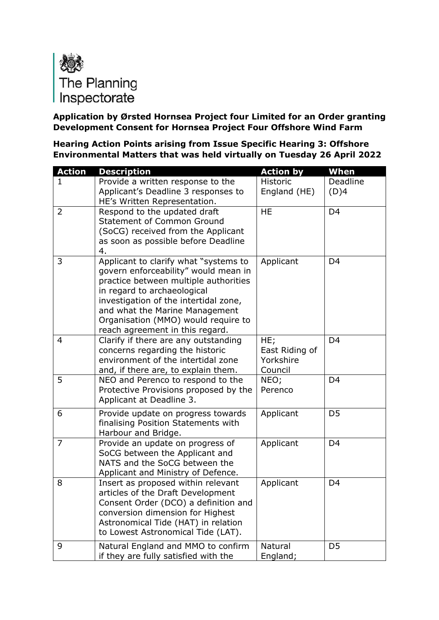

## **Application by Ørsted Hornsea Project four Limited for an Order granting Development Consent for Hornsea Project Four Offshore Wind Farm**

**Hearing Action Points arising from Issue Specific Hearing 3: Offshore Environmental Matters that was held virtually on Tuesday 26 April 2022**

| <b>Action</b>  | <b>Description</b>                                                      | <b>Action by</b> | When           |
|----------------|-------------------------------------------------------------------------|------------------|----------------|
| 1              | Provide a written response to the                                       | Historic         | Deadline       |
|                | Applicant's Deadline 3 responses to<br>HE's Written Representation.     | England (HE)     | (D)4           |
| $\overline{2}$ | Respond to the updated draft                                            | <b>HE</b>        | D <sub>4</sub> |
|                | <b>Statement of Common Ground</b>                                       |                  |                |
|                | (SoCG) received from the Applicant                                      |                  |                |
|                | as soon as possible before Deadline                                     |                  |                |
| 3              | 4.<br>Applicant to clarify what "systems to                             | Applicant        | D <sub>4</sub> |
|                | govern enforceability" would mean in                                    |                  |                |
|                | practice between multiple authorities                                   |                  |                |
|                | in regard to archaeological                                             |                  |                |
|                | investigation of the intertidal zone,                                   |                  |                |
|                | and what the Marine Management                                          |                  |                |
|                | Organisation (MMO) would require to                                     |                  |                |
| $\overline{4}$ | reach agreement in this regard.<br>Clarify if there are any outstanding | HE;              | D <sub>4</sub> |
|                | concerns regarding the historic                                         | East Riding of   |                |
|                | environment of the intertidal zone                                      | Yorkshire        |                |
|                | and, if there are, to explain them.                                     | Council          |                |
| 5              | NEO and Perenco to respond to the                                       | NEO;             | D <sub>4</sub> |
|                | Protective Provisions proposed by the                                   | Perenco          |                |
|                | Applicant at Deadline 3.                                                |                  |                |
| 6              | Provide update on progress towards                                      | Applicant        | D <sub>5</sub> |
|                | finalising Position Statements with                                     |                  |                |
|                | Harbour and Bridge.                                                     |                  |                |
| $\overline{7}$ | Provide an update on progress of<br>SoCG between the Applicant and      | Applicant        | D <sub>4</sub> |
|                | NATS and the SoCG between the                                           |                  |                |
|                | Applicant and Ministry of Defence.                                      |                  |                |
| 8              | Insert as proposed within relevant                                      | Applicant        | D <sub>4</sub> |
|                | articles of the Draft Development                                       |                  |                |
|                | Consent Order (DCO) a definition and                                    |                  |                |
|                | conversion dimension for Highest                                        |                  |                |
|                | Astronomical Tide (HAT) in relation                                     |                  |                |
|                | to Lowest Astronomical Tide (LAT).                                      |                  |                |
| 9              | Natural England and MMO to confirm                                      | Natural          | D <sub>5</sub> |
|                | if they are fully satisfied with the                                    | England;         |                |